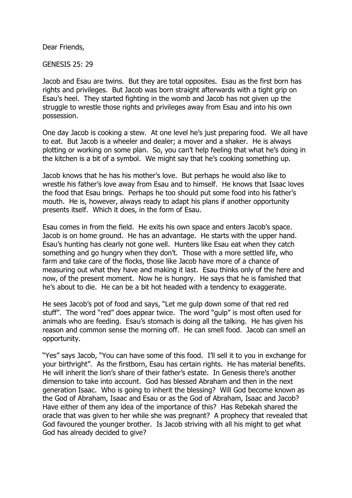Dear Friends,

GENESIS 25: 29

Jacob and Esau are twins. But they are total opposites. Esau as the first born has rights and privileges. But Jacob was born straight afterwards with a tight grip on Esau's heel. They started fighting in the womb and Jacob has not given up the struggle to wrestle those rights and privileges away from Esau and into his own possession.

One day Jacob is cooking a stew. At one level he's just preparing food. We all have to eat. But Jacob is a wheeler and dealer; a mover and a shaker. He is always plotting or working on some plan. So, you can't help feeling that what he's doing in the kitchen is a bit of a symbol. We might say that he's cooking something up.

Jacob knows that he has his mother's love. But perhaps he would also like to wrestle his father's love away from Esau and to himself. He knows that Isaac loves the food that Esau brings. Perhaps he too should put some food into his father's mouth. He is, however, always ready to adapt his plans if another opportunity presents itself. Which it does, in the form of Esau.

Esau comes in from the field. He exits his own space and enters Jacob's space. Jacob is on home ground. He has an advantage. He starts with the upper hand. Esau's hunting has clearly not gone well. Hunters like Esau eat when they catch something and go hungry when they don't. Those with a more settled life, who farm and take care of the flocks, those like Jacob have more of a chance of measuring out what they have and making it last. Esau thinks only of the here and now, of the present moment. Now he is hungry. He says that he is famished that he's about to die. He can be a bit hot headed with a tendency to exaggerate.

He sees Jacob's pot of food and says, "Let me gulp down some of that red red stuff". The word "red" does appear twice. The word "gulp" is most often used for animals who are feeding. Esau's stomach is doing all the talking. He has given his reason and common sense the morning off. He can smell food. Jacob can smell an opportunity.

"Yes" says Jacob, "You can have some of this food. I'll sell it to you in exchange for your birthright". As the firstborn, Esau has certain rights. He has material benefits. He will inherit the lion's share of their father's estate. In Genesis there's another dimension to take into account. God has blessed Abraham and then in the next generation Isaac. Who is going to inherit the blessing? Will God become known as the God of Abraham, Isaac and Esau or as the God of Abraham, Isaac and Jacob? Have either of them any idea of the importance of this? Has Rebekah shared the oracle that was given to her while she was pregnant? A prophecy that revealed that God favoured the younger brother. Is Jacob striving with all his might to get what God has already decided to give?